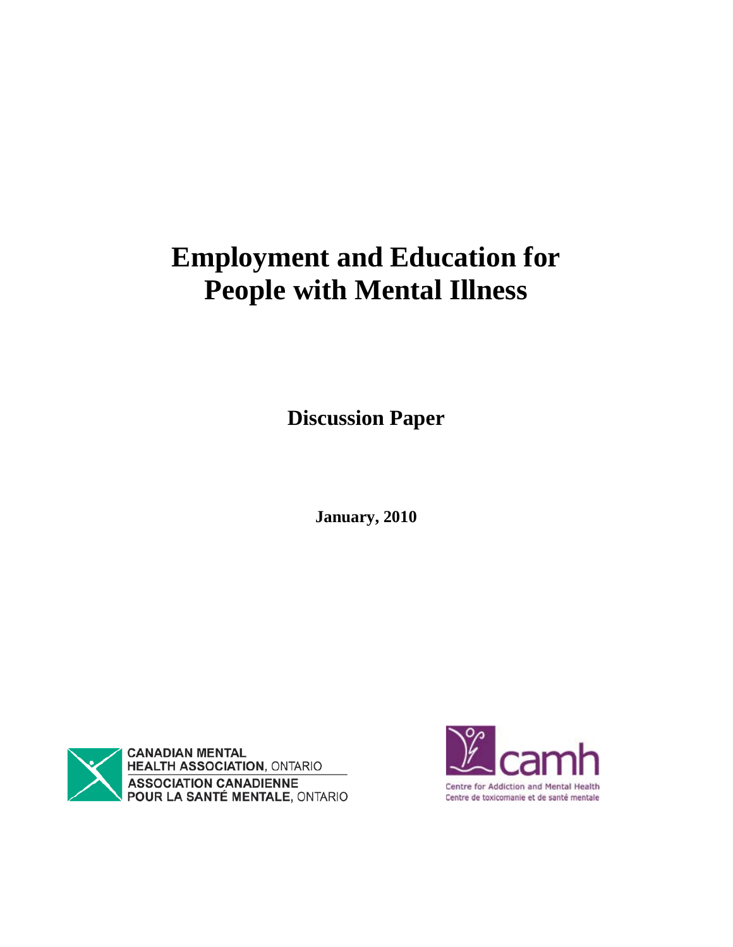# **Employment and Education for People with Mental Illness**

**Discussion Paper** 

**January, 2010**



**CANADIAN MENTAL<br>HEALTH ASSOCIATION, ONTARIO** ASSOCIATION CANADIENNE<br>POUR LA SANTÉ MENTALE, ONTARIO

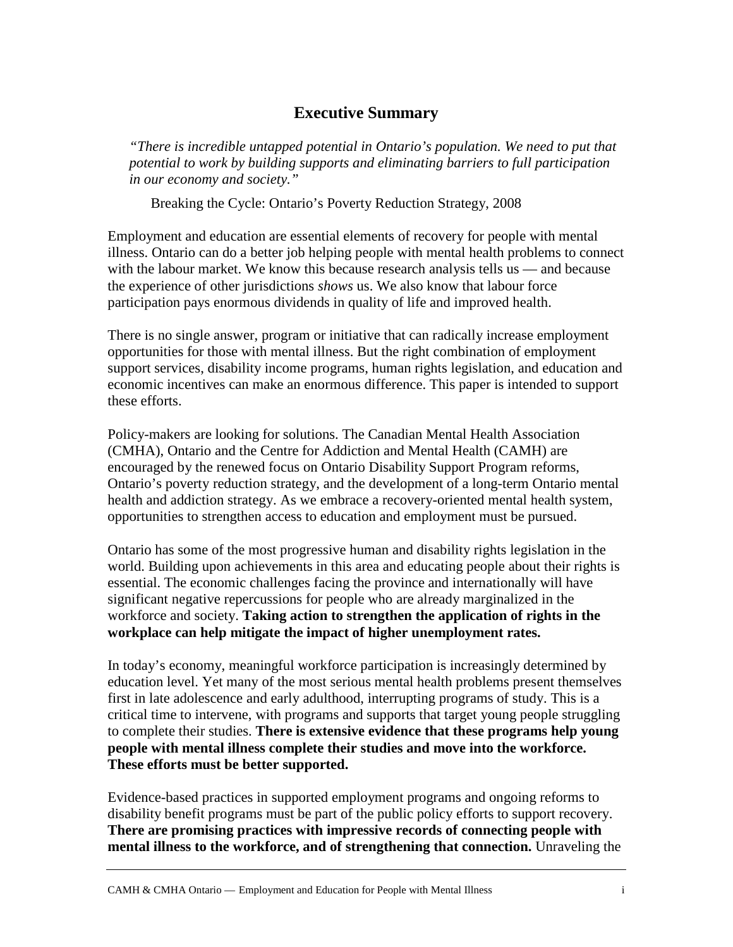## **Executive Summary**

*"There is incredible untapped potential in Ontario's population. We need to put that potential to work by building supports and eliminating barriers to full participation in our economy and society."*

Breaking the Cycle: Ontario's Poverty Reduction Strategy, 2008

Employment and education are essential elements of recovery for people with mental illness. Ontario can do a better job helping people with mental health problems to connect with the labour market. We know this because research analysis tells us — and because the experience of other jurisdictions *shows* us. We also know that labour force participation pays enormous dividends in quality of life and improved health.

There is no single answer, program or initiative that can radically increase employment opportunities for those with mental illness. But the right combination of employment support services, disability income programs, human rights legislation, and education and economic incentives can make an enormous difference. This paper is intended to support these efforts.

Policy-makers are looking for solutions. The Canadian Mental Health Association (CMHA), Ontario and the Centre for Addiction and Mental Health (CAMH) are encouraged by the renewed focus on Ontario Disability Support Program reforms, Ontario's poverty reduction strategy, and the development of a long-term Ontario mental health and addiction strategy. As we embrace a recovery-oriented mental health system, opportunities to strengthen access to education and employment must be pursued.

Ontario has some of the most progressive human and disability rights legislation in the world. Building upon achievements in this area and educating people about their rights is essential. The economic challenges facing the province and internationally will have significant negative repercussions for people who are already marginalized in the workforce and society. **Taking action to strengthen the application of rights in the workplace can help mitigate the impact of higher unemployment rates.**

In today's economy, meaningful workforce participation is increasingly determined by education level. Yet many of the most serious mental health problems present themselves first in late adolescence and early adulthood, interrupting programs of study. This is a critical time to intervene, with programs and supports that target young people struggling to complete their studies. **There is extensive evidence that these programs help young people with mental illness complete their studies and move into the workforce. These efforts must be better supported.** 

Evidence-based practices in supported employment programs and ongoing reforms to disability benefit programs must be part of the public policy efforts to support recovery. **There are promising practices with impressive records of connecting people with mental illness to the workforce, and of strengthening that connection.** Unraveling the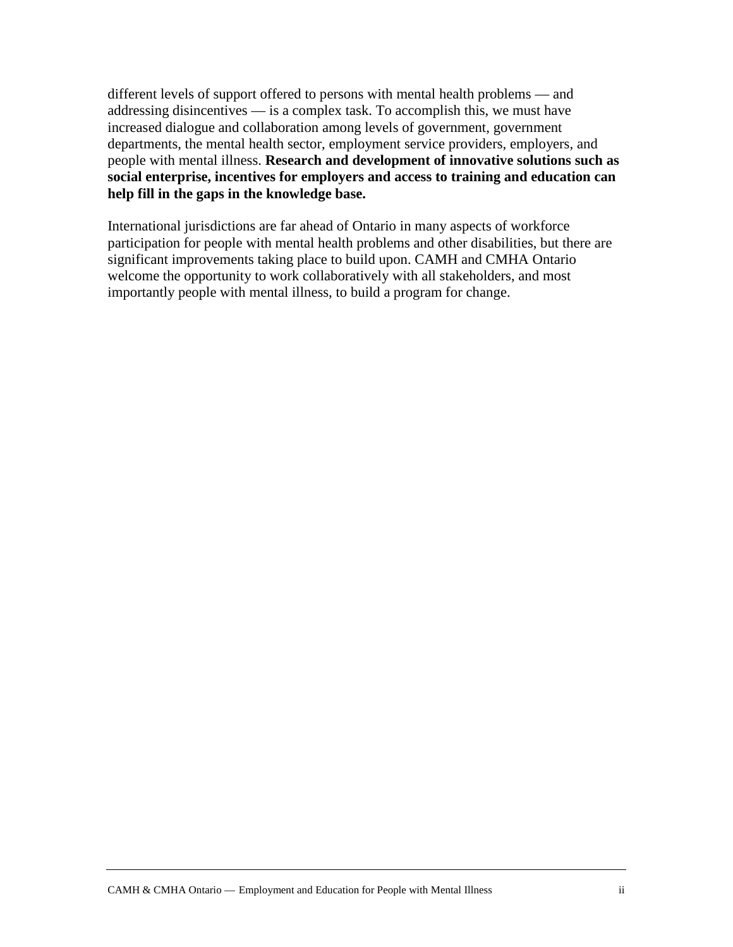different levels of support offered to persons with mental health problems — and addressing disincentives — is a complex task. To accomplish this, we must have increased dialogue and collaboration among levels of government, government departments, the mental health sector, employment service providers, employers, and people with mental illness. **Research and development of innovative solutions such as social enterprise, incentives for employers and access to training and education can help fill in the gaps in the knowledge base.**

International jurisdictions are far ahead of Ontario in many aspects of workforce participation for people with mental health problems and other disabilities, but there are significant improvements taking place to build upon. CAMH and CMHA Ontario welcome the opportunity to work collaboratively with all stakeholders, and most importantly people with mental illness, to build a program for change.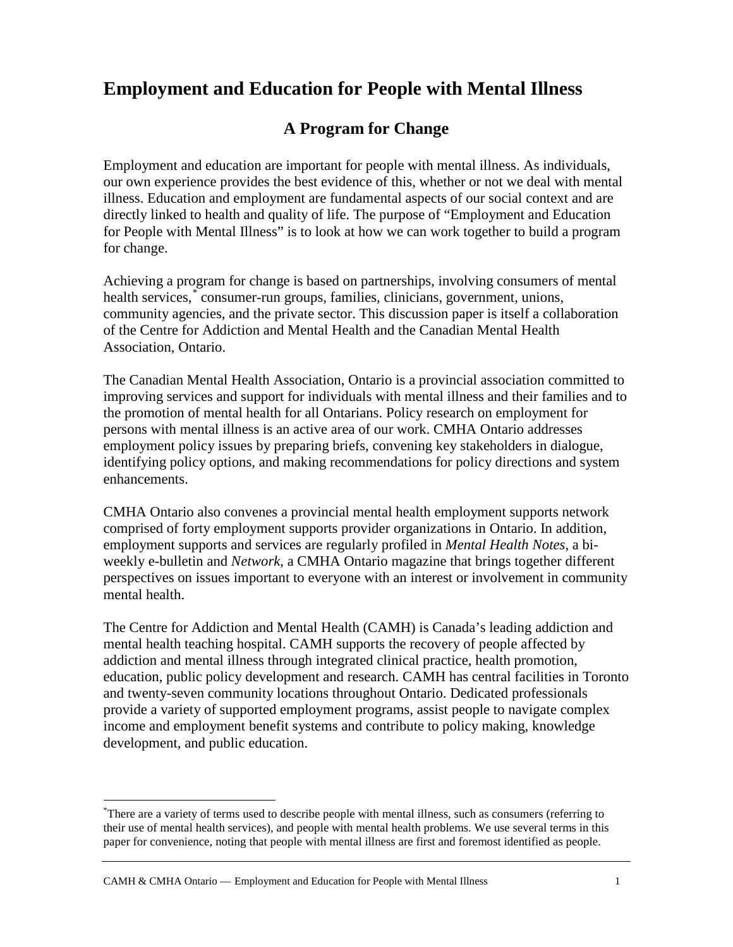# **Employment and Education for People with Mental Illness**

## **A Program for Change**

Employment and education are important for people with mental illness. As individuals, our own experience provides the best evidence of this, whether or not we deal with mental illness. Education and employment are fundamental aspects of our social context and are directly linked to health and quality of life. The purpose of "Employment and Education for People with Mental Illness" is to look at how we can work together to build a program for change.

Achieving a program for change is based on partnerships, involving consumers of mental health services,[\\*](#page-4-0) consumer-run groups, families, clinicians, government, unions, community agencies, and the private sector. This discussion paper is itself a collaboration of the Centre for Addiction and Mental Health and the Canadian Mental Health Association, Ontario.

The Canadian Mental Health Association, Ontario is a provincial association committed to improving services and support for individuals with mental illness and their families and to the promotion of mental health for all Ontarians. Policy research on employment for persons with mental illness is an active area of our work. CMHA Ontario addresses employment policy issues by preparing briefs, convening key stakeholders in dialogue, identifying policy options, and making recommendations for policy directions and system enhancements.

CMHA Ontario also convenes a provincial mental health employment supports network comprised of forty employment supports provider organizations in Ontario. In addition, employment supports and services are regularly profiled in *Mental Health Notes*, a biweekly e-bulletin and *Network*, a CMHA Ontario magazine that brings together different perspectives on issues important to everyone with an interest or involvement in community mental health.

The Centre for Addiction and Mental Health (CAMH) is Canada's leading addiction and mental health teaching hospital. CAMH supports the recovery of people affected by addiction and mental illness through integrated clinical practice, health promotion, education, public policy development and research. CAMH has central facilities in Toronto and twenty-seven community locations throughout Ontario. Dedicated professionals provide a variety of supported employment programs, assist people to navigate complex income and employment benefit systems and contribute to policy making, knowledge development, and public education.

<span id="page-4-0"></span> <sup>\*</sup> There are a variety of terms used to describe people with mental illness, such as consumers (referring to their use of mental health services), and people with mental health problems. We use several terms in this paper for convenience, noting that people with mental illness are first and foremost identified as people.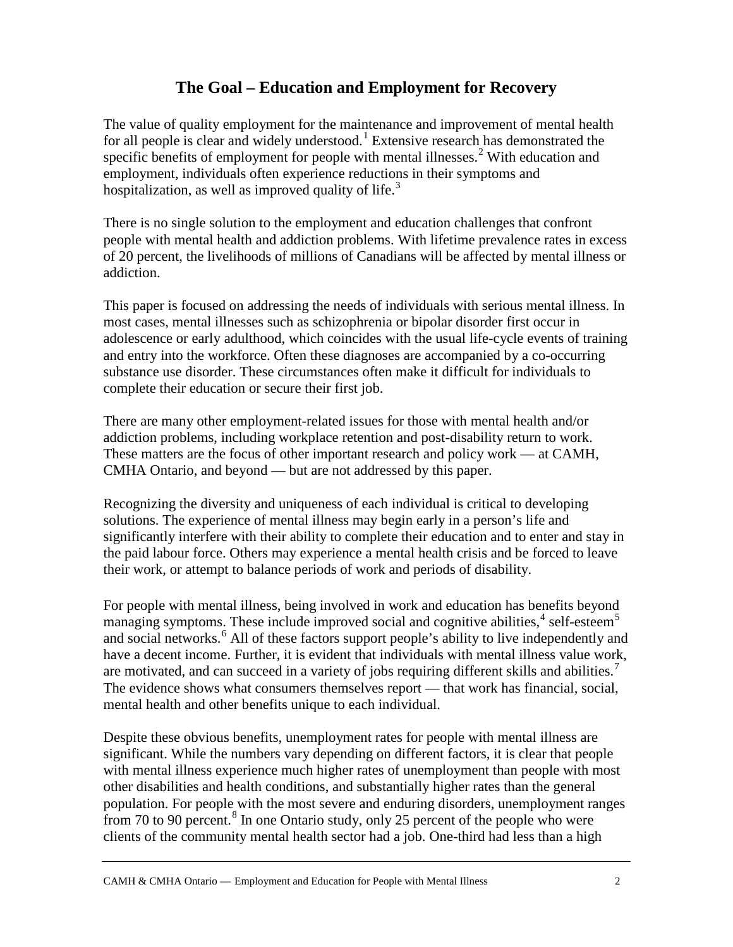## **The Goal – Education and Employment for Recovery**

The value of quality employment for the maintenance and improvement of mental health for all people is clear and widely understood.<sup>[1](#page-21-0)</sup> Extensive research has demonstrated the specific benefits of employment for people with mental illnesses.<sup>[2](#page-21-1)</sup> With education and employment, individuals often experience reductions in their symptoms and hospitalization, as well as improved quality of life.<sup>[3](#page-21-2)</sup>

There is no single solution to the employment and education challenges that confront people with mental health and addiction problems. With lifetime prevalence rates in excess of 20 percent, the livelihoods of millions of Canadians will be affected by mental illness or addiction.

This paper is focused on addressing the needs of individuals with serious mental illness. In most cases, mental illnesses such as schizophrenia or bipolar disorder first occur in adolescence or early adulthood, which coincides with the usual life-cycle events of training and entry into the workforce. Often these diagnoses are accompanied by a co-occurring substance use disorder. These circumstances often make it difficult for individuals to complete their education or secure their first job.

There are many other employment-related issues for those with mental health and/or addiction problems, including workplace retention and post-disability return to work. These matters are the focus of other important research and policy work — at CAMH, CMHA Ontario, and beyond — but are not addressed by this paper.

Recognizing the diversity and uniqueness of each individual is critical to developing solutions. The experience of mental illness may begin early in a person's life and significantly interfere with their ability to complete their education and to enter and stay in the paid labour force. Others may experience a mental health crisis and be forced to leave their work, or attempt to balance periods of work and periods of disability.

For people with mental illness, being involved in work and education has benefits beyond managing symptoms. These include improved social and cognitive abilities, $4$  self-esteem<sup>[5](#page-21-4)</sup> and social networks.<sup>[6](#page-21-5)</sup> All of these factors support people's ability to live independently and have a decent income. Further, it is evident that individuals with mental illness value work, are motivated, and can succeed in a variety of jobs requiring different skills and abilities.<sup>[7](#page-21-6)</sup> The evidence shows what consumers themselves report — that work has financial, social, mental health and other benefits unique to each individual.

Despite these obvious benefits, unemployment rates for people with mental illness are significant. While the numbers vary depending on different factors, it is clear that people with mental illness experience much higher rates of unemployment than people with most other disabilities and health conditions, and substantially higher rates than the general population. For people with the most severe and enduring disorders, unemployment ranges from 70 to 90 percent.<sup>[8](#page-21-7)</sup> In one Ontario study, only 25 percent of the people who were clients of the community mental health sector had a job. One-third had less than a high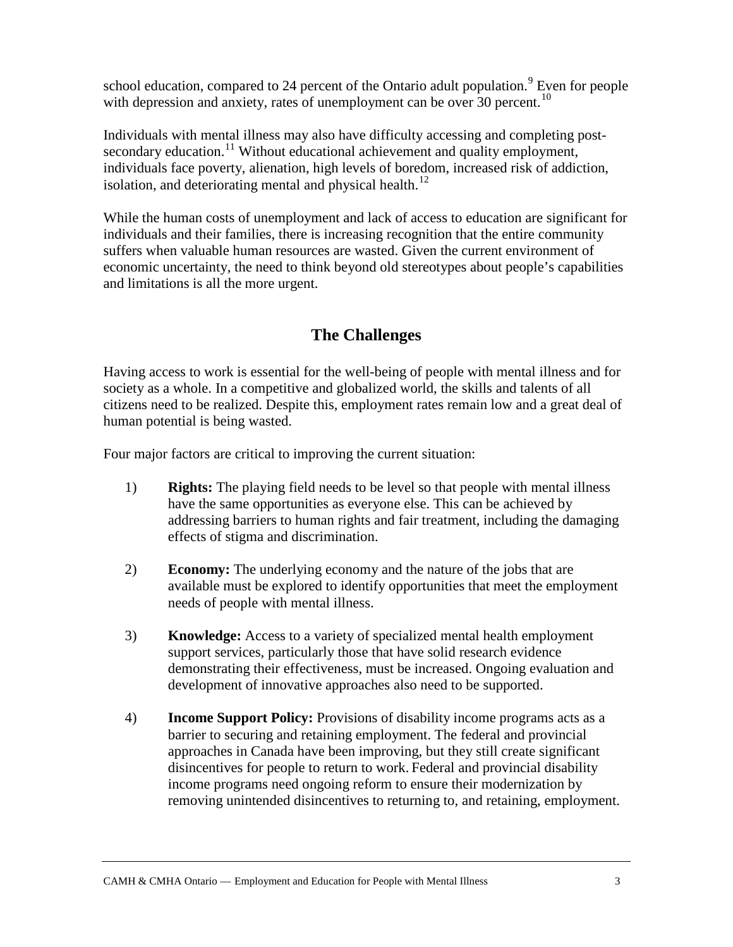school education, compared to 24 percent of the Ontario adult population.<sup>[9](#page-21-8)</sup> Even for people with depression and anxiety, rates of unemployment can be over  $30$  percent.<sup>[10](#page-21-9)</sup>

Individuals with mental illness may also have difficulty accessing and completing post-secondary education.<sup>[11](#page-21-10)</sup> Without educational achievement and quality employment, individuals face poverty, alienation, high levels of boredom, increased risk of addiction, isolation, and deteriorating mental and physical health. $^{12}$  $^{12}$  $^{12}$ 

While the human costs of unemployment and lack of access to education are significant for individuals and their families, there is increasing recognition that the entire community suffers when valuable human resources are wasted. Given the current environment of economic uncertainty, the need to think beyond old stereotypes about people's capabilities and limitations is all the more urgent.

# **The Challenges**

Having access to work is essential for the well-being of people with mental illness and for society as a whole. In a competitive and globalized world, the skills and talents of all citizens need to be realized. Despite this, employment rates remain low and a great deal of human potential is being wasted.

Four major factors are critical to improving the current situation:

- 1) **Rights:** The playing field needs to be level so that people with mental illness have the same opportunities as everyone else. This can be achieved by addressing barriers to human rights and fair treatment, including the damaging effects of stigma and discrimination.
- 2) **Economy:** The underlying economy and the nature of the jobs that are available must be explored to identify opportunities that meet the employment needs of people with mental illness.
- 3) **Knowledge:** Access to a variety of specialized mental health employment support services, particularly those that have solid research evidence demonstrating their effectiveness, must be increased. Ongoing evaluation and development of innovative approaches also need to be supported.
- 4) **Income Support Policy:** Provisions of disability income programs acts as a barrier to securing and retaining employment. The federal and provincial approaches in Canada have been improving, but they still create significant disincentives for people to return to work. Federal and provincial disability income programs need ongoing reform to ensure their modernization by removing unintended disincentives to returning to, and retaining, employment.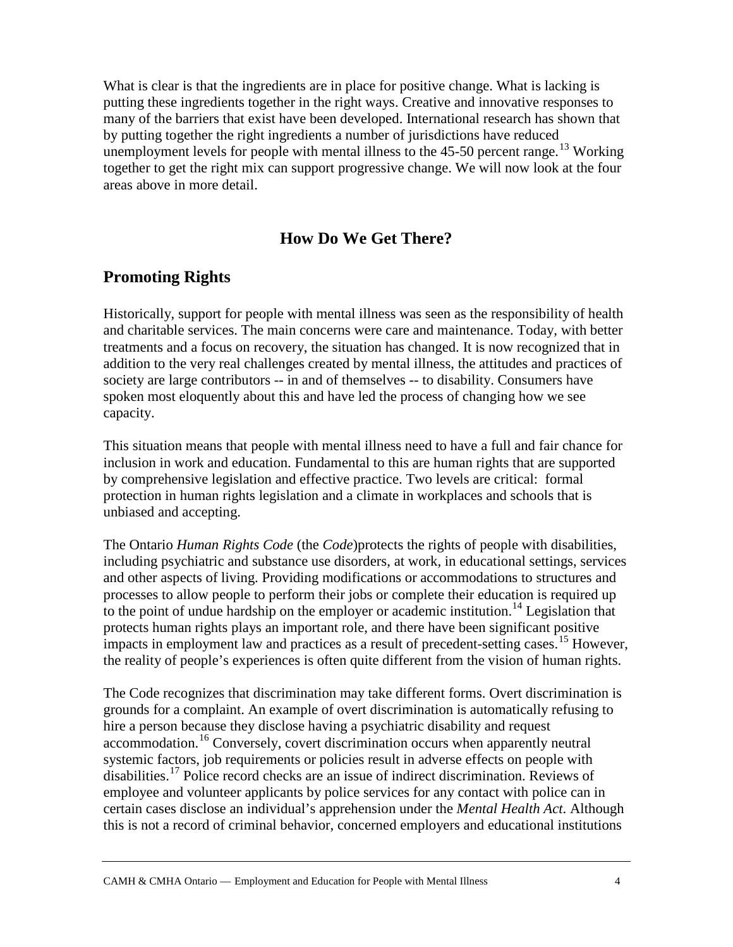What is clear is that the ingredients are in place for positive change. What is lacking is putting these ingredients together in the right ways. Creative and innovative responses to many of the barriers that exist have been developed. International research has shown that by putting together the right ingredients a number of jurisdictions have reduced unemployment levels for people with mental illness to the  $45-50$  percent range.<sup>[13](#page-21-12)</sup> Working together to get the right mix can support progressive change. We will now look at the four areas above in more detail.

## **How Do We Get There?**

## **Promoting Rights**

Historically, support for people with mental illness was seen as the responsibility of health and charitable services. The main concerns were care and maintenance. Today, with better treatments and a focus on recovery, the situation has changed. It is now recognized that in addition to the very real challenges created by mental illness, the attitudes and practices of society are large contributors -- in and of themselves -- to disability. Consumers have spoken most eloquently about this and have led the process of changing how we see capacity.

This situation means that people with mental illness need to have a full and fair chance for inclusion in work and education. Fundamental to this are human rights that are supported by comprehensive legislation and effective practice. Two levels are critical: formal protection in human rights legislation and a climate in workplaces and schools that is unbiased and accepting.

The Ontario *Human Rights Code* (the *Code*)protects the rights of people with disabilities, including psychiatric and substance use disorders, at work, in educational settings, services and other aspects of living. Providing modifications or accommodations to structures and processes to allow people to perform their jobs or complete their education is required up to the point of undue hardship on the employer or academic institution.<sup>[14](#page-21-13)</sup> Legislation that protects human rights plays an important role, and there have been significant positive impacts in employment law and practices as a result of precedent-setting cases.<sup>[15](#page-21-14)</sup> However, the reality of people's experiences is often quite different from the vision of human rights.

The Code recognizes that discrimination may take different forms. Overt discrimination is grounds for a complaint. An example of overt discrimination is automatically refusing to hire a person because they disclose having a psychiatric disability and request accommodation.<sup>[16](#page-21-15)</sup> Conversely, covert discrimination occurs when apparently neutral systemic factors, job requirements or policies result in adverse effects on people with disabilities.<sup>[17](#page-21-16)</sup> Police record checks are an issue of indirect discrimination. Reviews of employee and volunteer applicants by police services for any contact with police can in certain cases disclose an individual's apprehension under the *Mental Health Act*. Although this is not a record of criminal behavior, concerned employers and educational institutions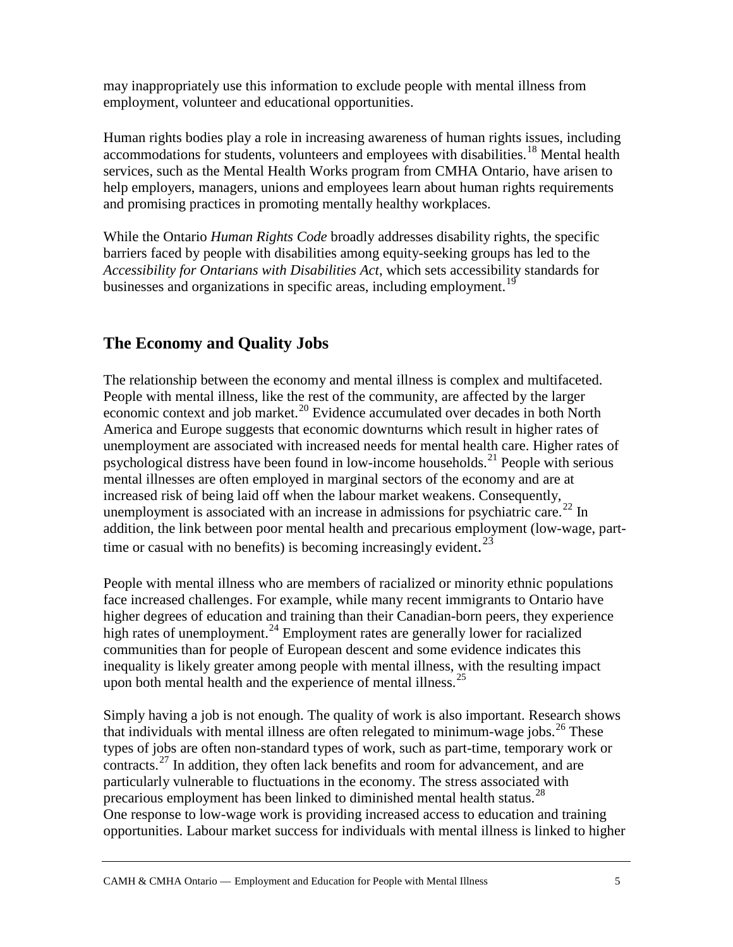may inappropriately use this information to exclude people with mental illness from employment, volunteer and educational opportunities.

Human rights bodies play a role in increasing awareness of human rights issues, including accommodations for students, volunteers and employees with disabilities.<sup>[18](#page-21-17)</sup> Mental health services, such as the Mental Health Works program from CMHA Ontario, have arisen to help employers, managers, unions and employees learn about human rights requirements and promising practices in promoting mentally healthy workplaces.

While the Ontario *Human Rights Code* broadly addresses disability rights, the specific barriers faced by people with disabilities among equity-seeking groups has led to the *Accessibility for Ontarians with Disabilities Act*, which sets accessibility standards for businesses and organizations in specific areas, including employment.<sup>[19](#page-21-18)</sup>

## **The Economy and Quality Jobs**

The relationship between the economy and mental illness is complex and multifaceted. People with mental illness, like the rest of the community, are affected by the larger economic context and job market.<sup>[20](#page-22-0)</sup> Evidence accumulated over decades in both North America and Europe suggests that economic downturns which result in higher rates of unemployment are associated with increased needs for mental health care. Higher rates of psychological distress have been found in low-income households.<sup>[21](#page-22-1)</sup> People with serious mental illnesses are often employed in marginal sectors of the economy and are at increased risk of being laid off when the labour market weakens. Consequently, unemployment is associated with an increase in admissions for psychiatric care.<sup>[22](#page-22-2)</sup> In addition, the link between poor mental health and precarious employment (low-wage, part-time or casual with no benefits) is becoming increasingly evident.<sup>[23](#page-22-3)</sup>

People with mental illness who are members of racialized or minority ethnic populations face increased challenges. For example, while many recent immigrants to Ontario have higher degrees of education and training than their Canadian-born peers, they experience high rates of unemployment.<sup>[24](#page-22-4)</sup> Employment rates are generally lower for racialized communities than for people of European descent and some evidence indicates this inequality is likely greater among people with mental illness, with the resulting impact upon both mental health and the experience of mental illness.<sup>[25](#page-22-5)</sup>

Simply having a job is not enough. The quality of work is also important. Research shows that individuals with mental illness are often relegated to minimum-wage jobs.<sup>[26](#page-22-6)</sup> These types of jobs are often non-standard types of work, such as part-time, temporary work or contracts.[27](#page-22-7) In addition, they often lack benefits and room for advancement, and are particularly vulnerable to fluctuations in the economy. The stress associated with precarious employment has been linked to diminished mental health status.<sup>[28](#page-22-8)</sup> One response to low-wage work is providing increased access to education and training opportunities. Labour market success for individuals with mental illness is linked to higher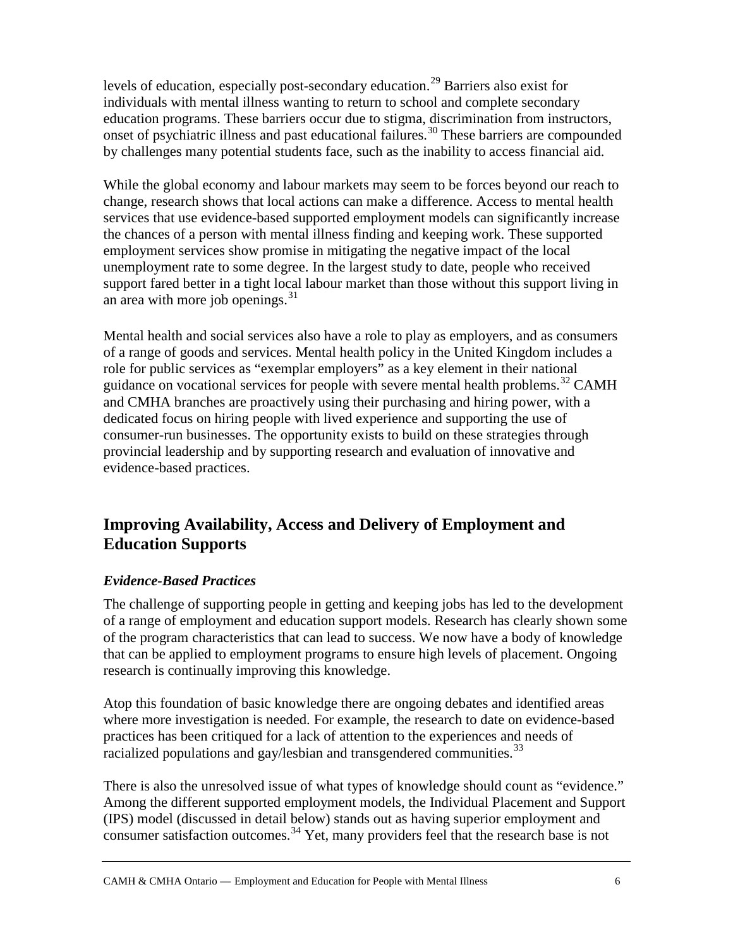levels of education, especially post-secondary education.[29](#page-22-9) Barriers also exist for individuals with mental illness wanting to return to school and complete secondary education programs. These barriers occur due to stigma, discrimination from instructors, onset of psychiatric illness and past educational failures.<sup>[30](#page-22-10)</sup> These barriers are compounded by challenges many potential students face, such as the inability to access financial aid.

While the global economy and labour markets may seem to be forces beyond our reach to change, research shows that local actions can make a difference. Access to mental health services that use evidence-based supported employment models can significantly increase the chances of a person with mental illness finding and keeping work. These supported employment services show promise in mitigating the negative impact of the local unemployment rate to some degree. In the largest study to date, people who received support fared better in a tight local labour market than those without this support living in an area with more job openings. $31$ 

Mental health and social services also have a role to play as employers, and as consumers of a range of goods and services. Mental health policy in the United Kingdom includes a role for public services as "exemplar employers" as a key element in their national guidance on vocational services for people with severe mental health problems.<sup>[32](#page-22-12)</sup> CAMH and CMHA branches are proactively using their purchasing and hiring power, with a dedicated focus on hiring people with lived experience and supporting the use of consumer-run businesses. The opportunity exists to build on these strategies through provincial leadership and by supporting research and evaluation of innovative and evidence-based practices.

## **Improving Availability, Access and Delivery of Employment and Education Supports**

#### *Evidence-Based Practices*

The challenge of supporting people in getting and keeping jobs has led to the development of a range of employment and education support models. Research has clearly shown some of the program characteristics that can lead to success. We now have a body of knowledge that can be applied to employment programs to ensure high levels of placement. Ongoing research is continually improving this knowledge.

Atop this foundation of basic knowledge there are ongoing debates and identified areas where more investigation is needed. For example, the research to date on evidence-based practices has been critiqued for a lack of attention to the experiences and needs of racialized populations and gay/lesbian and transgendered communities. $^{33}$  $^{33}$  $^{33}$ 

There is also the unresolved issue of what types of knowledge should count as "evidence." Among the different supported employment models, the Individual Placement and Support (IPS) model (discussed in detail below) stands out as having superior employment and consumer satisfaction outcomes.<sup>[34](#page-22-14)</sup> Yet, many providers feel that the research base is not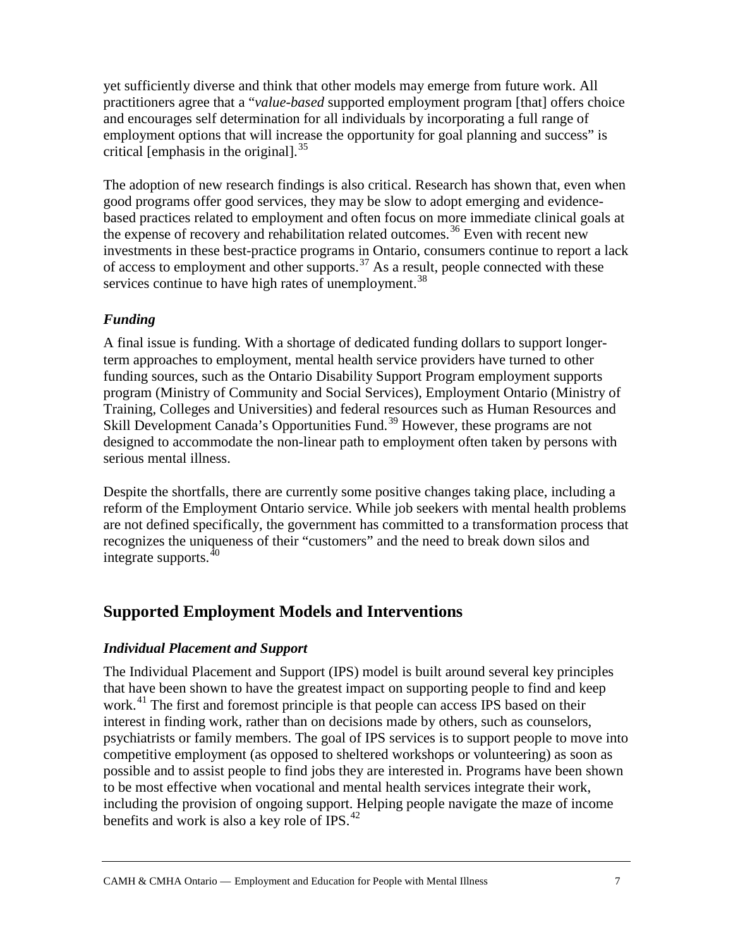yet sufficiently diverse and think that other models may emerge from future work. All practitioners agree that a "*value-based* supported employment program [that] offers choice and encourages self determination for all individuals by incorporating a full range of employment options that will increase the opportunity for goal planning and success" is critical [emphasis in the original]. $^{35}$  $^{35}$  $^{35}$ 

The adoption of new research findings is also critical. Research has shown that, even when good programs offer good services, they may be slow to adopt emerging and evidencebased practices related to employment and often focus on more immediate clinical goals at the expense of recovery and rehabilitation related outcomes.<sup>[36](#page-22-16)</sup> Even with recent new investments in these best-practice programs in Ontario, consumers continue to report a lack of access to employment and other supports.<sup>[37](#page-23-0)</sup> As a result, people connected with these services continue to have high rates of unemployment.<sup>[38](#page-23-1)</sup>

## *Funding*

A final issue is funding. With a shortage of dedicated funding dollars to support longerterm approaches to employment, mental health service providers have turned to other funding sources, such as the Ontario Disability Support Program employment supports program (Ministry of Community and Social Services), Employment Ontario (Ministry of Training, Colleges and Universities) and federal resources such as Human Resources and Skill Development Canada's Opportunities Fund.<sup>[39](#page-23-2)</sup> However, these programs are not designed to accommodate the non-linear path to employment often taken by persons with serious mental illness.

Despite the shortfalls, there are currently some positive changes taking place, including a reform of the Employment Ontario service. While job seekers with mental health problems are not defined specifically, the government has committed to a transformation process that recognizes the uniqueness of their "customers" and the need to break down silos and integrate supports.[40](#page-23-3)

## **Supported Employment Models and Interventions**

#### *Individual Placement and Support*

The Individual Placement and Support (IPS) model is built around several key principles that have been shown to have the greatest impact on supporting people to find and keep work.<sup>[41](#page-23-4)</sup> The first and foremost principle is that people can access IPS based on their interest in finding work, rather than on decisions made by others, such as counselors, psychiatrists or family members. The goal of IPS services is to support people to move into competitive employment (as opposed to sheltered workshops or volunteering) as soon as possible and to assist people to find jobs they are interested in. Programs have been shown to be most effective when vocational and mental health services integrate their work, including the provision of ongoing support. Helping people navigate the maze of income benefits and work is also a key role of IPS.[42](#page-23-5)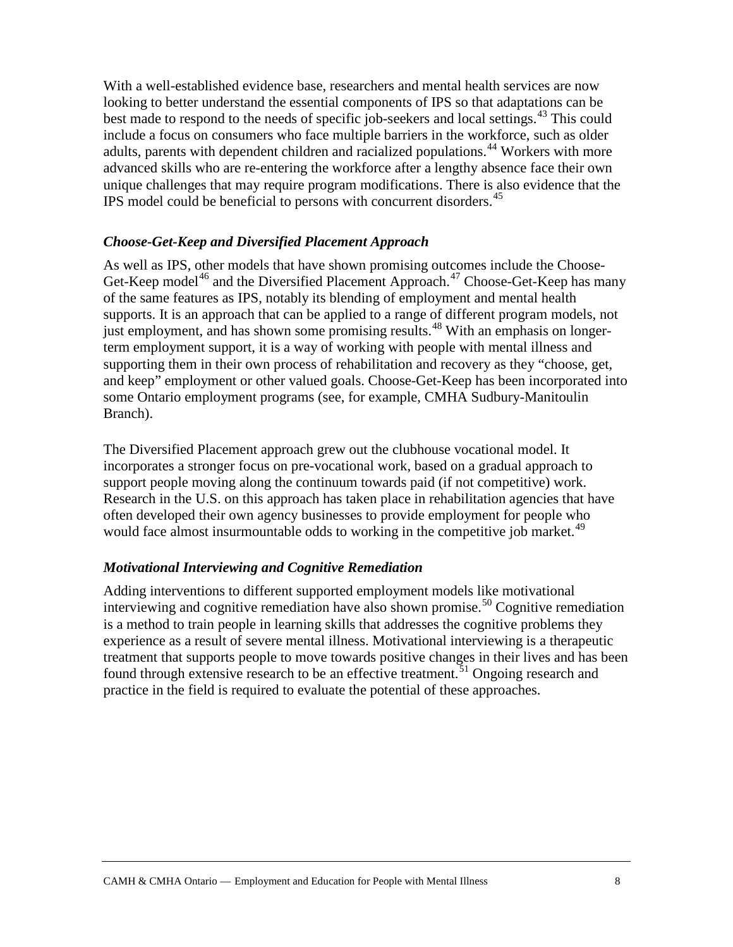With a well-established evidence base, researchers and mental health services are now looking to better understand the essential components of IPS so that adaptations can be best made to respond to the needs of specific job-seekers and local settings.<sup>[43](#page-23-6)</sup> This could include a focus on consumers who face multiple barriers in the workforce, such as older adults, parents with dependent children and racialized populations.<sup>[44](#page-23-7)</sup> Workers with more advanced skills who are re-entering the workforce after a lengthy absence face their own unique challenges that may require program modifications. There is also evidence that the IPS model could be beneficial to persons with concurrent disorders.[45](#page-23-8)

#### *Choose-Get-Keep and Diversified Placement Approach*

As well as IPS, other models that have shown promising outcomes include the Choose-Get-Keep model<sup>[46](#page-23-9)</sup> and the Diversified Placement Approach.<sup>[47](#page-23-10)</sup> Choose-Get-Keep has many of the same features as IPS, notably its blending of employment and mental health supports. It is an approach that can be applied to a range of different program models, not just employment, and has shown some promising results.<sup>[48](#page-23-11)</sup> With an emphasis on longerterm employment support, it is a way of working with people with mental illness and supporting them in their own process of rehabilitation and recovery as they "choose, get, and keep" employment or other valued goals. Choose-Get-Keep has been incorporated into some Ontario employment programs (see, for example, CMHA Sudbury-Manitoulin Branch).

The Diversified Placement approach grew out the clubhouse vocational model. It incorporates a stronger focus on pre-vocational work, based on a gradual approach to support people moving along the continuum towards paid (if not competitive) work. Research in the U.S. on this approach has taken place in rehabilitation agencies that have often developed their own agency businesses to provide employment for people who would face almost insurmountable odds to working in the competitive job market.<sup>[49](#page-23-12)</sup>

#### *Motivational Interviewing and Cognitive Remediation*

Adding interventions to different supported employment models like motivational interviewing and cognitive remediation have also shown promise.<sup>[50](#page-23-13)</sup> Cognitive remediation is a method to train people in learning skills that addresses the cognitive problems they experience as a result of severe mental illness. Motivational interviewing is a therapeutic treatment that supports people to move towards positive changes in their lives and has been found through extensive research to be an effective treatment.<sup>[51](#page-23-14)</sup> Ongoing research and practice in the field is required to evaluate the potential of these approaches.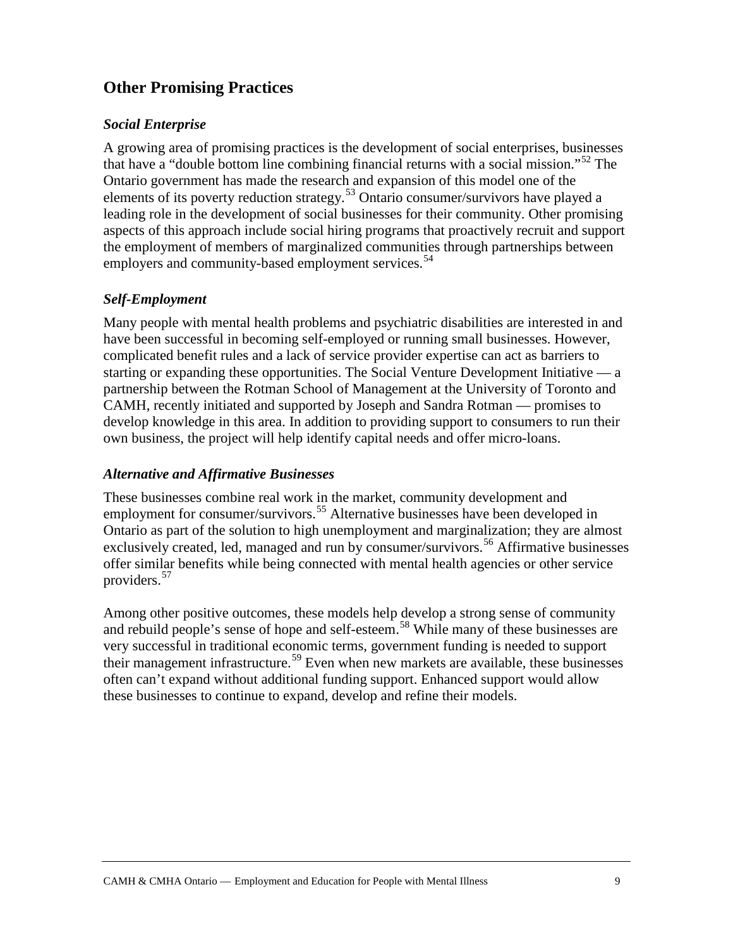# **Other Promising Practices**

#### *Social Enterprise*

A growing area of promising practices is the development of social enterprises, businesses that have a "double bottom line combining financial returns with a social mission."[52](#page-23-15) The Ontario government has made the research and expansion of this model one of the elements of its poverty reduction strategy.[53](#page-23-16) Ontario consumer/survivors have played a leading role in the development of social businesses for their community. Other promising aspects of this approach include social hiring programs that proactively recruit and support the employment of members of marginalized communities through partnerships between employers and community-based employment services.<sup>[54](#page-23-17)</sup>

## *Self-Employment*

Many people with mental health problems and psychiatric disabilities are interested in and have been successful in becoming self-employed or running small businesses. However, complicated benefit rules and a lack of service provider expertise can act as barriers to starting or expanding these opportunities. The Social Venture Development Initiative — a partnership between the Rotman School of Management at the University of Toronto and CAMH, recently initiated and supported by Joseph and Sandra Rotman — promises to develop knowledge in this area. In addition to providing support to consumers to run their own business, the project will help identify capital needs and offer micro-loans.

#### *Alternative and Affirmative Businesses*

These businesses combine real work in the market, community development and employment for consumer/survivors.<sup>[55](#page-23-18)</sup> Alternative businesses have been developed in Ontario as part of the solution to high unemployment and marginalization; they are almost exclusively created, led, managed and run by consumer/survivors.<sup>[56](#page-23-19)</sup> Affirmative businesses offer similar benefits while being connected with mental health agencies or other service providers.[57](#page-23-20)

Among other positive outcomes, these models help develop a strong sense of community and rebuild people's sense of hope and self-esteem.<sup>[58](#page-23-21)</sup> While many of these businesses are very successful in traditional economic terms, government funding is needed to support their management infrastructure.<sup>[59](#page-23-22)</sup> Even when new markets are available, these businesses often can't expand without additional funding support. Enhanced support would allow these businesses to continue to expand, develop and refine their models.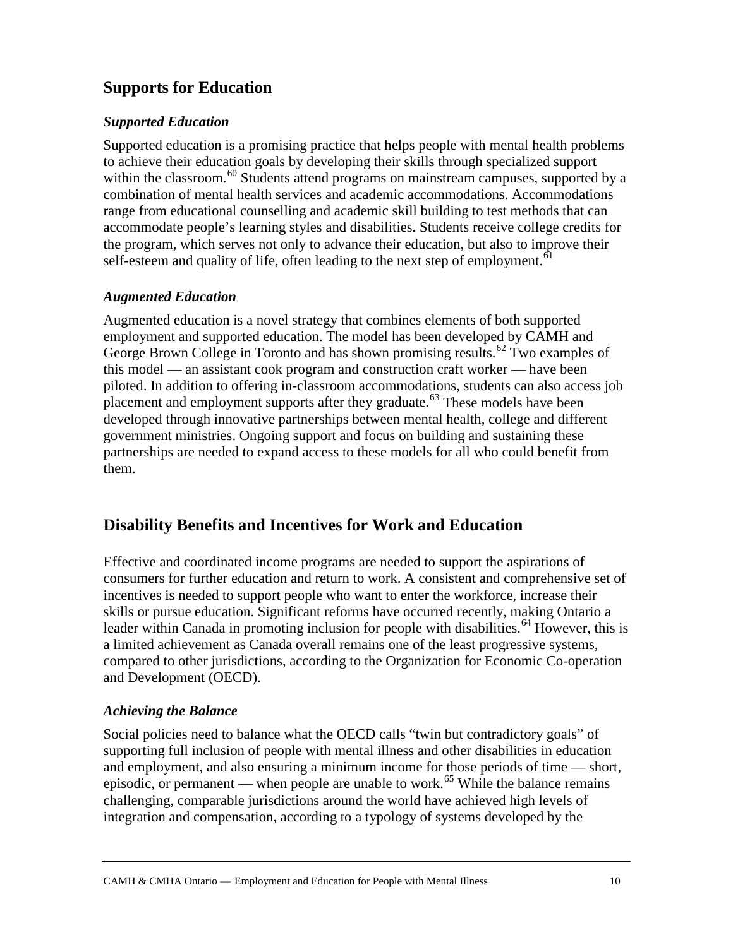# **Supports for Education**

## *Supported Education*

Supported education is a promising practice that helps people with mental health problems to achieve their education goals by developing their skills through specialized support within the classroom.<sup>[60](#page-23-23)</sup> Students attend programs on mainstream campuses, supported by a combination of mental health services and academic accommodations. Accommodations range from educational counselling and academic skill building to test methods that can accommodate people's learning styles and disabilities. Students receive college credits for the program, which serves not only to advance their education, but also to improve their self-esteem and quality of life, often leading to the next step of employment.<sup>[61](#page-23-24)</sup>

## *Augmented Education*

Augmented education is a novel strategy that combines elements of both supported employment and supported education. The model has been developed by CAMH and George Brown College in Toronto and has shown promising results.<sup>[62](#page-24-0)</sup> Two examples of this model — an assistant cook program and construction craft worker — have been piloted. In addition to offering in-classroom accommodations, students can also access job placement and employment supports after they graduate.<sup>[63](#page-24-1)</sup> These models have been developed through innovative partnerships between mental health, college and different government ministries. Ongoing support and focus on building and sustaining these partnerships are needed to expand access to these models for all who could benefit from them.

# **Disability Benefits and Incentives for Work and Education**

Effective and coordinated income programs are needed to support the aspirations of consumers for further education and return to work. A consistent and comprehensive set of incentives is needed to support people who want to enter the workforce, increase their skills or pursue education. Significant reforms have occurred recently, making Ontario a leader within Canada in promoting inclusion for people with disabilities.<sup>[64](#page-24-2)</sup> However, this is a limited achievement as Canada overall remains one of the least progressive systems, compared to other jurisdictions, according to the Organization for Economic Co-operation and Development (OECD).

## *Achieving the Balance*

Social policies need to balance what the OECD calls "twin but contradictory goals" of supporting full inclusion of people with mental illness and other disabilities in education and employment, and also ensuring a minimum income for those periods of time — short, episodic, or permanent — when people are unable to work.<sup>[65](#page-24-3)</sup> While the balance remains challenging, comparable jurisdictions around the world have achieved high levels of integration and compensation, according to a typology of systems developed by the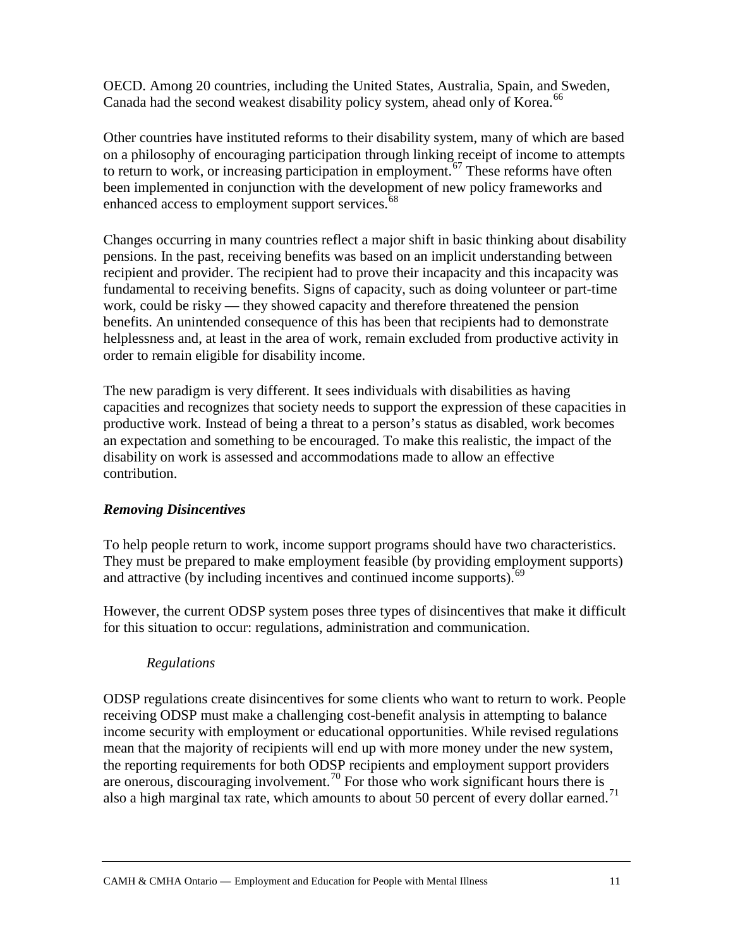OECD. Among 20 countries, including the United States, Australia, Spain, and Sweden, Canada had the second weakest disability policy system, ahead only of Korea.<sup>[66](#page-24-4)</sup>

Other countries have instituted reforms to their disability system, many of which are based on a philosophy of encouraging participation through linking receipt of income to attempts to return to work, or increasing participation in employment.<sup>[67](#page-24-5)</sup> These reforms have often been implemented in conjunction with the development of new policy frameworks and enhanced access to employment support services.<sup>[68](#page-24-6)</sup>

Changes occurring in many countries reflect a major shift in basic thinking about disability pensions. In the past, receiving benefits was based on an implicit understanding between recipient and provider. The recipient had to prove their incapacity and this incapacity was fundamental to receiving benefits. Signs of capacity, such as doing volunteer or part-time work, could be risky — they showed capacity and therefore threatened the pension benefits. An unintended consequence of this has been that recipients had to demonstrate helplessness and, at least in the area of work, remain excluded from productive activity in order to remain eligible for disability income.

The new paradigm is very different. It sees individuals with disabilities as having capacities and recognizes that society needs to support the expression of these capacities in productive work. Instead of being a threat to a person's status as disabled, work becomes an expectation and something to be encouraged. To make this realistic, the impact of the disability on work is assessed and accommodations made to allow an effective contribution.

#### *Removing Disincentives*

To help people return to work, income support programs should have two characteristics. They must be prepared to make employment feasible (by providing employment supports) and attractive (by including incentives and continued income supports).  $69$ 

However, the current ODSP system poses three types of disincentives that make it difficult for this situation to occur: regulations, administration and communication.

#### *Regulations*

ODSP regulations create disincentives for some clients who want to return to work. People receiving ODSP must make a challenging cost-benefit analysis in attempting to balance income security with employment or educational opportunities. While revised regulations mean that the majority of recipients will end up with more money under the new system, the reporting requirements for both ODSP recipients and employment support providers are onerous, discouraging involvement.[70](#page-24-8) For those who work significant hours there is also a high marginal tax rate, which amounts to about 50 percent of every dollar earned.<sup>[71](#page-24-9)</sup>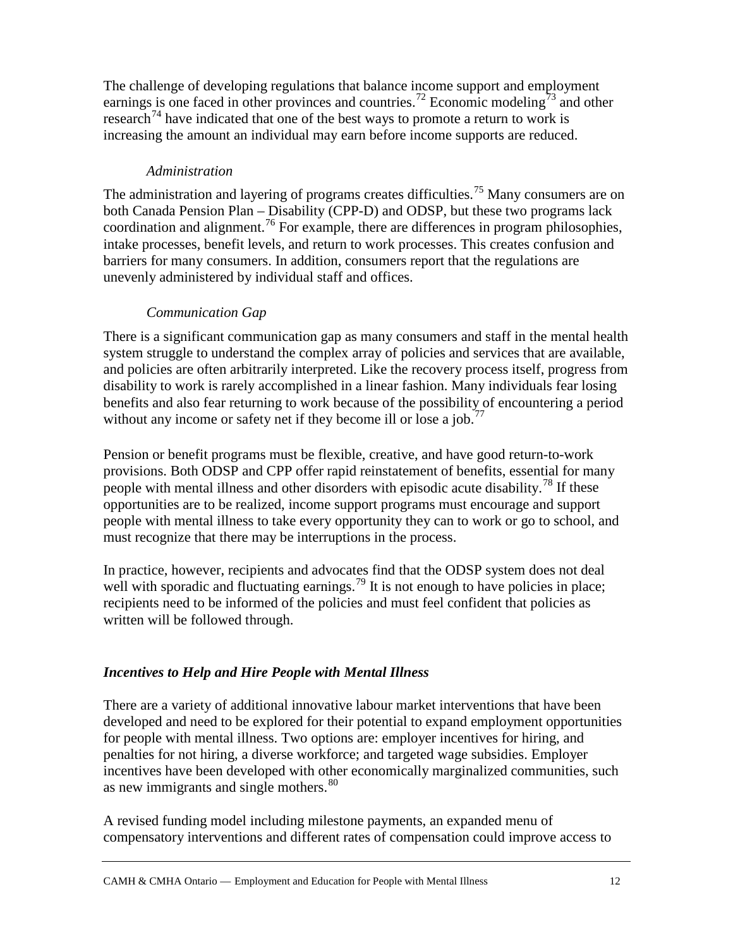The challenge of developing regulations that balance income support and employment earnings is one faced in other provinces and countries.<sup>[72](#page-24-10)</sup> Economic modeling<sup>[73](#page-24-11)</sup> and other research<sup> $74$ </sup> have indicated that one of the best ways to promote a return to work is increasing the amount an individual may earn before income supports are reduced.

#### *Administration*

The administration and layering of programs creates difficulties.<sup>[75](#page-24-13)</sup> Many consumers are on both Canada Pension Plan – Disability (CPP-D) and ODSP, but these two programs lack coordination and alignment.[76](#page-24-14) For example, there are differences in program philosophies, intake processes, benefit levels, and return to work processes. This creates confusion and barriers for many consumers. In addition, consumers report that the regulations are unevenly administered by individual staff and offices.

#### *Communication Gap*

There is a significant communication gap as many consumers and staff in the mental health system struggle to understand the complex array of policies and services that are available, and policies are often arbitrarily interpreted. Like the recovery process itself, progress from disability to work is rarely accomplished in a linear fashion. Many individuals fear losing benefits and also fear returning to work because of the possibility of encountering a period without any income or safety net if they become ill or lose a job.<sup>[77](#page-24-15)</sup>

Pension or benefit programs must be flexible, creative, and have good return-to-work provisions. Both ODSP and CPP offer rapid reinstatement of benefits, essential for many people with mental illness and other disorders with episodic acute disability.<sup>[78](#page-24-16)</sup> If these opportunities are to be realized, income support programs must encourage and support people with mental illness to take every opportunity they can to work or go to school, and must recognize that there may be interruptions in the process.

In practice, however, recipients and advocates find that the ODSP system does not deal well with sporadic and fluctuating earnings.<sup>[79](#page-24-17)</sup> It is not enough to have policies in place; recipients need to be informed of the policies and must feel confident that policies as written will be followed through.

#### *Incentives to Help and Hire People with Mental Illness*

There are a variety of additional innovative labour market interventions that have been developed and need to be explored for their potential to expand employment opportunities for people with mental illness. Two options are: employer incentives for hiring, and penalties for not hiring, a diverse workforce; and targeted wage subsidies. Employer incentives have been developed with other economically marginalized communities, such as new immigrants and single mothers.<sup>[80](#page-24-18)</sup>

A revised funding model including milestone payments, an expanded menu of compensatory interventions and different rates of compensation could improve access to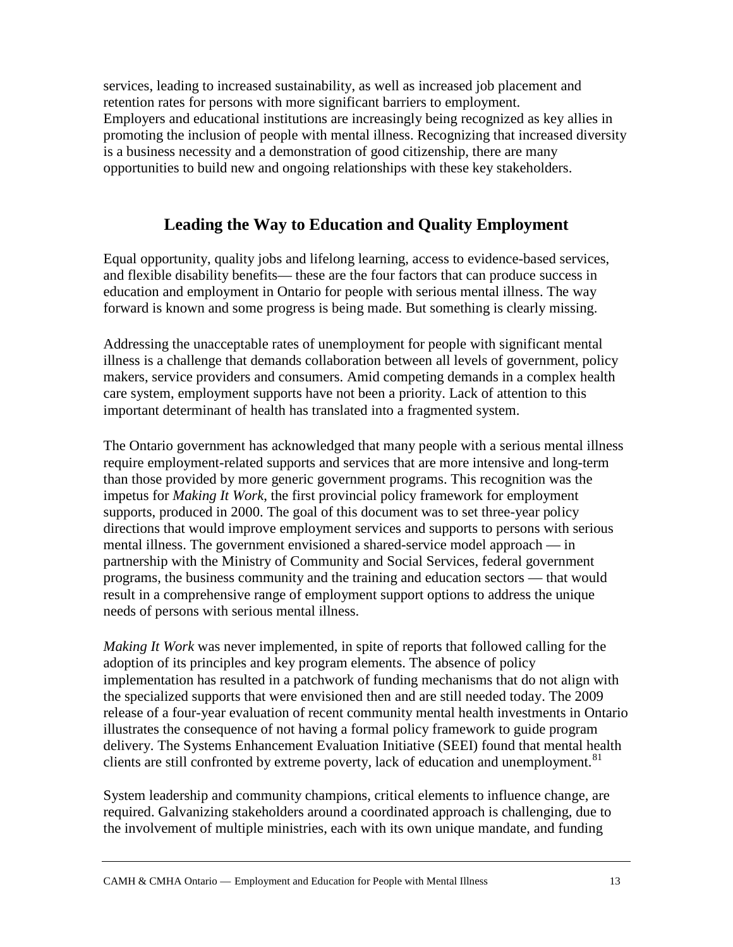services, leading to increased sustainability, as well as increased job placement and retention rates for persons with more significant barriers to employment. Employers and educational institutions are increasingly being recognized as key allies in promoting the inclusion of people with mental illness. Recognizing that increased diversity is a business necessity and a demonstration of good citizenship, there are many opportunities to build new and ongoing relationships with these key stakeholders.

## **Leading the Way to Education and Quality Employment**

Equal opportunity, quality jobs and lifelong learning, access to evidence-based services, and flexible disability benefits— these are the four factors that can produce success in education and employment in Ontario for people with serious mental illness. The way forward is known and some progress is being made. But something is clearly missing.

Addressing the unacceptable rates of unemployment for people with significant mental illness is a challenge that demands collaboration between all levels of government, policy makers, service providers and consumers. Amid competing demands in a complex health care system, employment supports have not been a priority. Lack of attention to this important determinant of health has translated into a fragmented system.

The Ontario government has acknowledged that many people with a serious mental illness require employment-related supports and services that are more intensive and long-term than those provided by more generic government programs. This recognition was the impetus for *Making It Work*, the first provincial policy framework for employment supports, produced in 2000. The goal of this document was to set three-year policy directions that would improve employment services and supports to persons with serious mental illness. The government envisioned a shared-service model approach — in partnership with the Ministry of Community and Social Services, federal government programs, the business community and the training and education sectors — that would result in a comprehensive range of employment support options to address the unique needs of persons with serious mental illness.

*Making It Work* was never implemented, in spite of reports that followed calling for the adoption of its principles and key program elements. The absence of policy implementation has resulted in a patchwork of funding mechanisms that do not align with the specialized supports that were envisioned then and are still needed today. The 2009 release of a four-year evaluation of recent community mental health investments in Ontario illustrates the consequence of not having a formal policy framework to guide program delivery. The Systems Enhancement Evaluation Initiative (SEEI) found that mental health clients are still confronted by extreme poverty, lack of education and unemployment.<sup>[81](#page-24-19)</sup>

System leadership and community champions, critical elements to influence change, are required. Galvanizing stakeholders around a coordinated approach is challenging, due to the involvement of multiple ministries, each with its own unique mandate, and funding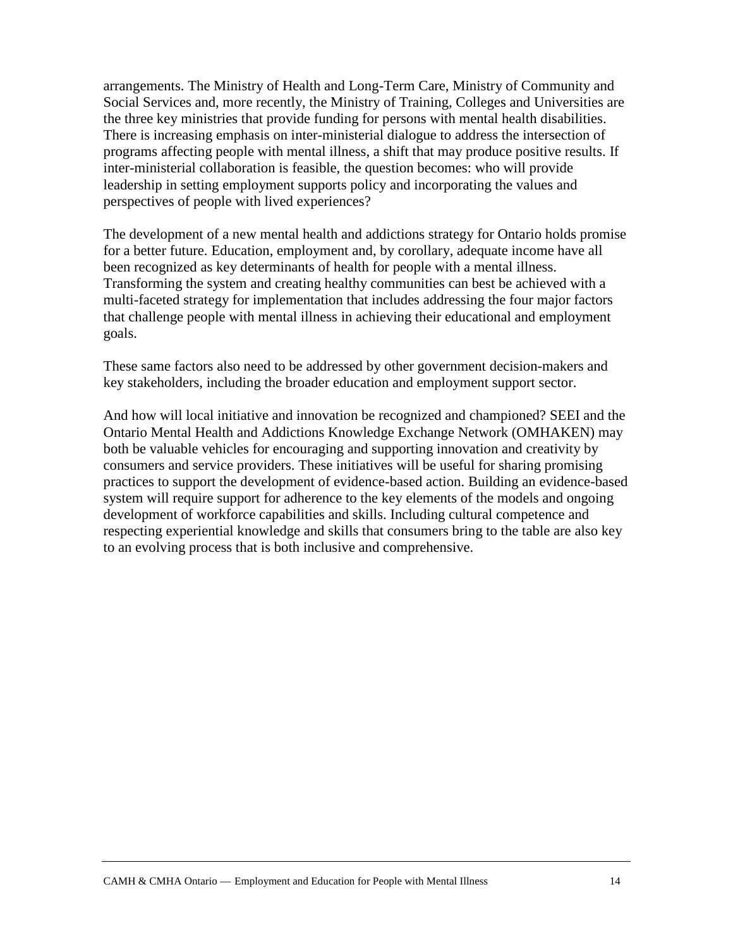arrangements. The Ministry of Health and Long-Term Care, Ministry of Community and Social Services and, more recently, the Ministry of Training, Colleges and Universities are the three key ministries that provide funding for persons with mental health disabilities. There is increasing emphasis on inter-ministerial dialogue to address the intersection of programs affecting people with mental illness, a shift that may produce positive results. If inter-ministerial collaboration is feasible, the question becomes: who will provide leadership in setting employment supports policy and incorporating the values and perspectives of people with lived experiences?

The development of a new mental health and addictions strategy for Ontario holds promise for a better future. Education, employment and, by corollary, adequate income have all been recognized as key determinants of health for people with a mental illness. Transforming the system and creating healthy communities can best be achieved with a multi-faceted strategy for implementation that includes addressing the four major factors that challenge people with mental illness in achieving their educational and employment goals.

These same factors also need to be addressed by other government decision-makers and key stakeholders, including the broader education and employment support sector.

And how will local initiative and innovation be recognized and championed? SEEI and the Ontario Mental Health and Addictions Knowledge Exchange Network (OMHAKEN) may both be valuable vehicles for encouraging and supporting innovation and creativity by consumers and service providers. These initiatives will be useful for sharing promising practices to support the development of evidence-based action. Building an evidence-based system will require support for adherence to the key elements of the models and ongoing development of workforce capabilities and skills. Including cultural competence and respecting experiential knowledge and skills that consumers bring to the table are also key to an evolving process that is both inclusive and comprehensive.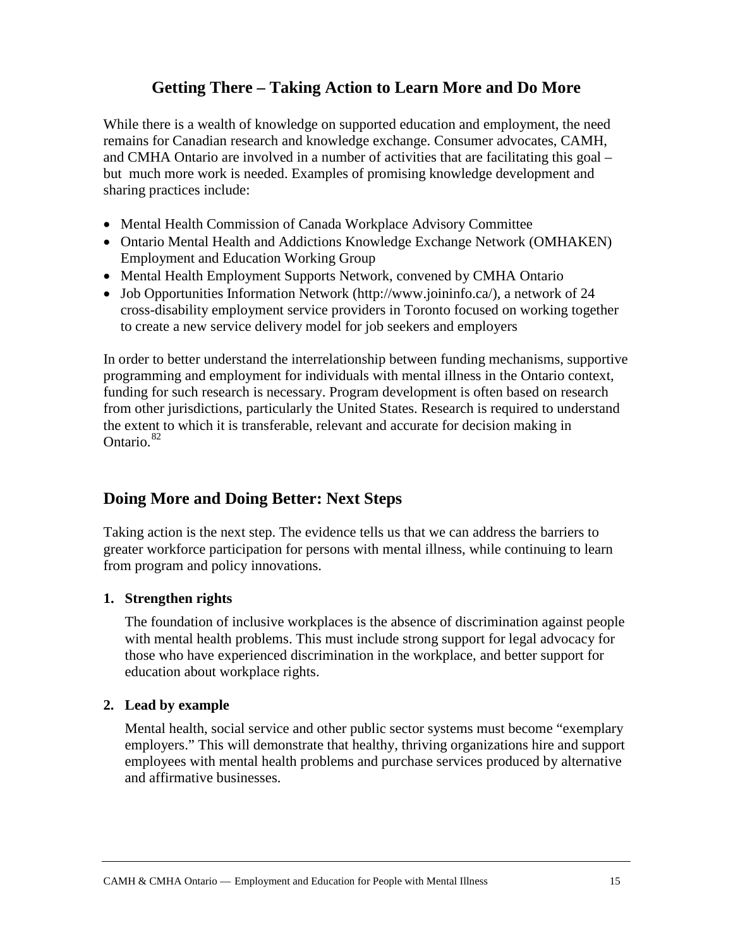## **Getting There – Taking Action to Learn More and Do More**

While there is a wealth of knowledge on supported education and employment, the need remains for Canadian research and knowledge exchange. Consumer advocates, CAMH, and CMHA Ontario are involved in a number of activities that are facilitating this goal – but much more work is needed. Examples of promising knowledge development and sharing practices include:

- Mental Health Commission of Canada Workplace Advisory Committee
- Ontario Mental Health and Addictions Knowledge Exchange Network (OMHAKEN) Employment and Education Working Group
- Mental Health Employment Supports Network, convened by CMHA Ontario
- Job Opportunities Information Network (http://www.joininfo.ca/), a network of 24 cross-disability employment service providers in Toronto focused on working together to create a new service delivery model for job seekers and employers

In order to better understand the interrelationship between funding mechanisms, supportive programming and employment for individuals with mental illness in the Ontario context, funding for such research is necessary. Program development is often based on research from other jurisdictions, particularly the United States. Research is required to understand the extent to which it is transferable, relevant and accurate for decision making in Ontario.[82](#page-24-20)

## **Doing More and Doing Better: Next Steps**

Taking action is the next step. The evidence tells us that we can address the barriers to greater workforce participation for persons with mental illness, while continuing to learn from program and policy innovations.

#### **1. Strengthen rights**

The foundation of inclusive workplaces is the absence of discrimination against people with mental health problems. This must include strong support for legal advocacy for those who have experienced discrimination in the workplace, and better support for education about workplace rights.

#### **2. Lead by example**

Mental health, social service and other public sector systems must become "exemplary employers." This will demonstrate that healthy, thriving organizations hire and support employees with mental health problems and purchase services produced by alternative and affirmative businesses.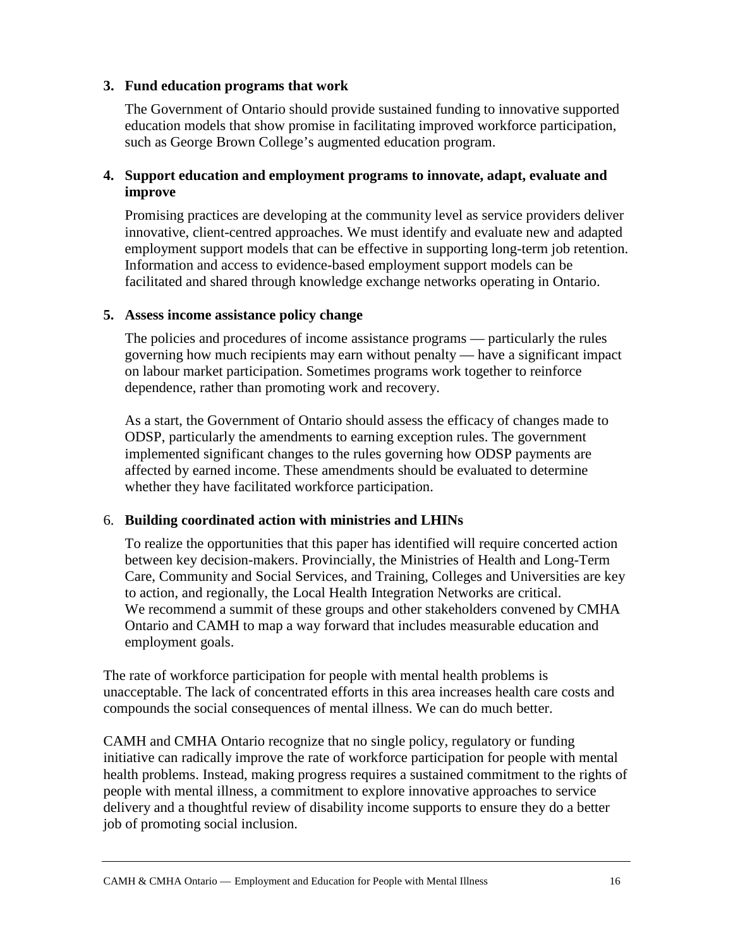#### **3. Fund education programs that work**

The Government of Ontario should provide sustained funding to innovative supported education models that show promise in facilitating improved workforce participation, such as George Brown College's augmented education program.

#### **4. Support education and employment programs to innovate, adapt, evaluate and improve**

Promising practices are developing at the community level as service providers deliver innovative, client-centred approaches. We must identify and evaluate new and adapted employment support models that can be effective in supporting long-term job retention. Information and access to evidence-based employment support models can be facilitated and shared through knowledge exchange networks operating in Ontario.

#### **5. Assess income assistance policy change**

The policies and procedures of income assistance programs — particularly the rules governing how much recipients may earn without penalty — have a significant impact on labour market participation. Sometimes programs work together to reinforce dependence, rather than promoting work and recovery.

As a start, the Government of Ontario should assess the efficacy of changes made to ODSP, particularly the amendments to earning exception rules. The government implemented significant changes to the rules governing how ODSP payments are affected by earned income. These amendments should be evaluated to determine whether they have facilitated workforce participation.

#### 6. **Building coordinated action with ministries and LHINs**

To realize the opportunities that this paper has identified will require concerted action between key decision-makers. Provincially, the Ministries of Health and Long-Term Care, Community and Social Services, and Training, Colleges and Universities are key to action, and regionally, the Local Health Integration Networks are critical. We recommend a summit of these groups and other stakeholders convened by CMHA Ontario and CAMH to map a way forward that includes measurable education and employment goals.

The rate of workforce participation for people with mental health problems is unacceptable. The lack of concentrated efforts in this area increases health care costs and compounds the social consequences of mental illness. We can do much better.

CAMH and CMHA Ontario recognize that no single policy, regulatory or funding initiative can radically improve the rate of workforce participation for people with mental health problems. Instead, making progress requires a sustained commitment to the rights of people with mental illness, a commitment to explore innovative approaches to service delivery and a thoughtful review of disability income supports to ensure they do a better job of promoting social inclusion.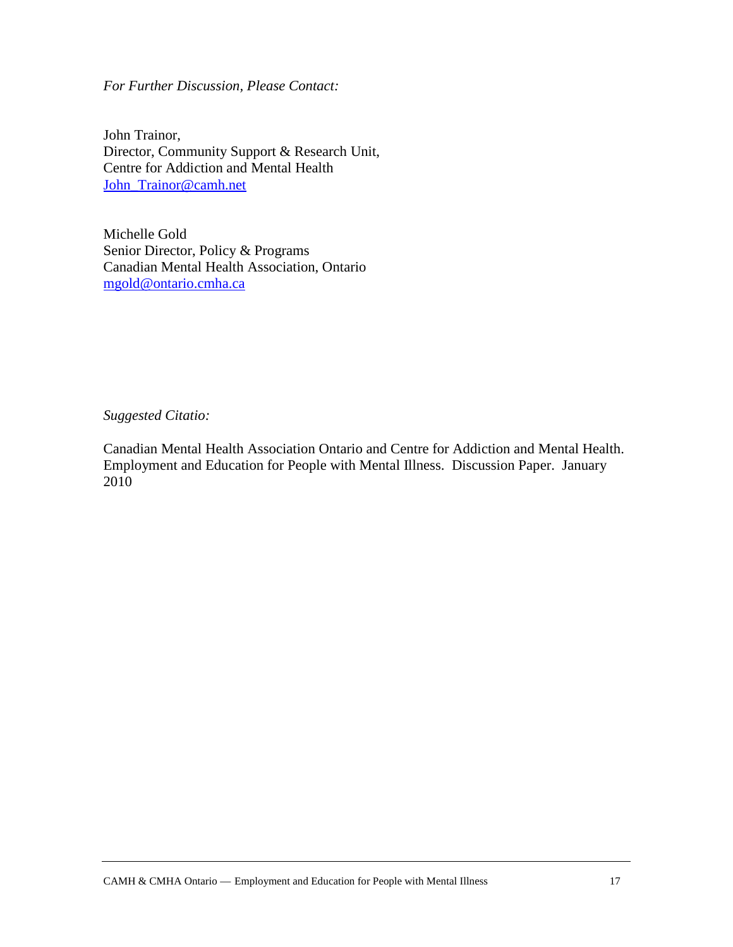*For Further Discussion, Please Contact:*

John Trainor, Director, Community Support & Research Unit, Centre for Addiction and Mental Health John Trainor@camh.net

Michelle Gold Senior Director, Policy & Programs Canadian Mental Health Association, Ontario [mgold@ontario.cmha.ca](mailto:mgold@ontario.cmha.ca)

*Suggested Citatio:*

Canadian Mental Health Association Ontario and Centre for Addiction and Mental Health. Employment and Education for People with Mental Illness. Discussion Paper. January 2010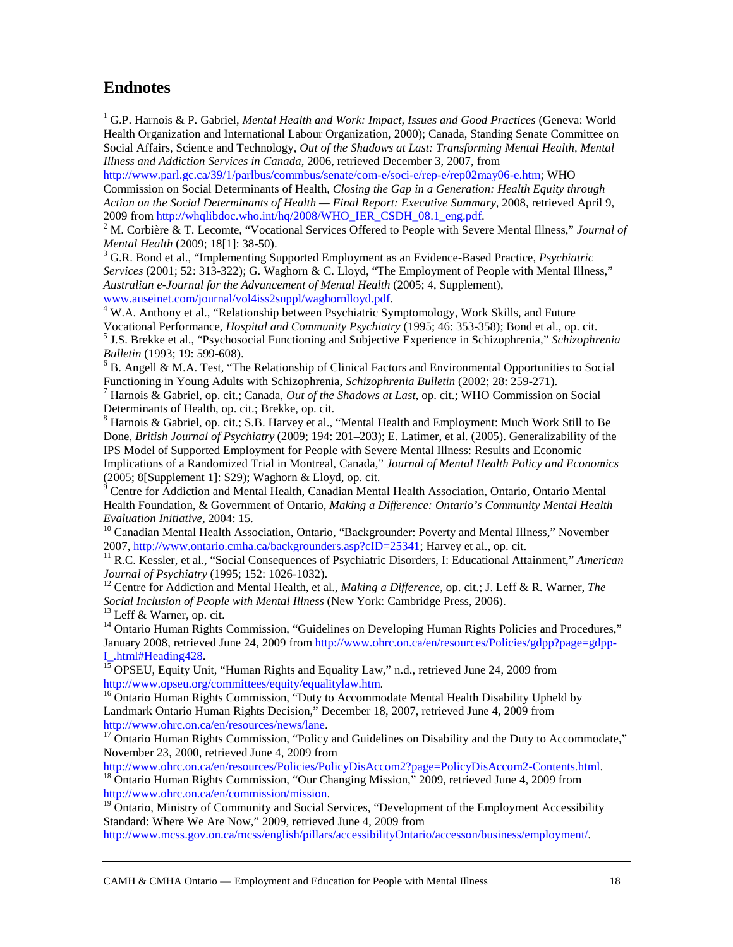## **Endnotes**

<span id="page-21-0"></span><sup>1</sup> G.P. Harnois & P. Gabriel, *Mental Health and Work: Impact, Issues and Good Practices* (Geneva: World Health Organization and International Labour Organization, 2000); Canada, Standing Senate Committee on Social Affairs, Science and Technology, *Out of the Shadows at Last: Transforming Mental Health, Mental Illness and Addiction Services in Canada*, 2006, retrieved December 3, 2007, from

[http://www.parl.gc.ca/39/1/parlbus/commbus/senate/com-e/soci-e/rep-e/rep02may06-e.htm;](http://www.parl.gc.ca/39/1/parlbus/commbus/senate/com-e/soci-e/rep-e/rep02may06-e.htm) WHO Commission on Social Determinants of Health, *Closing the Gap in a Generation: Health Equity through Action on the Social Determinants of Health — Final Report: Executive Summary*, 2008, retrieved April 9, 2009 from http://whqlibdoc.who.int/hq/2008/WHO\_IER\_CSDH\_08.1\_eng.pdf.

<span id="page-21-1"></span><sup>2</sup> M. Corbière & T. Lecomte, "Vocational Services Offered to People with Severe Mental Illness," *Journal of Mental Health* (2009; 18[1]: 38-50).

<span id="page-21-2"></span><sup>3</sup> G.R. Bond et al., "Implementing Supported Employment as an Evidence-Based Practice, *Psychiatric Services* (2001; 52: 313-322); G. Waghorn & C. Lloyd, "The Employment of People with Mental Illness," *Australian e-Journal for the Advancement of Mental Health* (2005; 4, Supplement),

<span id="page-21-3"></span>[www.auseinet.com/journal/vol4iss2suppl/waghornlloyd.pdf.](http://www.auseinet.com/journal/vol4iss2suppl/waghornlloyd.pdf)<br><sup>4</sup> W.A. Anthony et al., "Relationship between Psychiatric Symptomology, Work Skills, and Future<br>Vocational Performance, *Hospital and Community Psychiatry* (1995; 4 <sup>5</sup> J.S. Brekke et al., "Psychosocial Functioning and Subjective Experience in Schizophrenia," *Schizophrenia* 

<span id="page-21-5"></span><span id="page-21-4"></span>*Bulletin* (1993; 19: 599-608).<br><sup>6</sup> B. Angell & M.A. Test, "The Relationship of Clinical Factors and Environmental Opportunities to Social

<span id="page-21-6"></span>Functioning in Young Adults with Schizophrenia, *Schizophrenia Bulletin* (2002; 28: 259-271).<br><sup>7</sup> Harnois & Gabriel, op. cit.; Canada, *Out of the Shadows at Last*, op. cit.; WHO Commission on Social Determinants of Health

<span id="page-21-7"></span> $8$  Harnois & Gabriel, op. cit.; S.B. Harvey et al., "Mental Health and Employment: Much Work Still to Be Done, *British Journal of Psychiatry* (2009; 194: 201–203); E. Latimer, et al. (2005). Generalizability of the IPS Model of Supported Employment for People with Severe Mental Illness: Results and Economic

Implications of a Randomized Trial in Montreal, Canada," *Journal of Mental Health Policy and Economics*<br>(2005; 8[Supplement 1]: S29); Waghorn & Lloyd, op. cit.<br><sup>9</sup> Centre for Addiction and Martel Health Canadian Martel He

<span id="page-21-8"></span>Centre for Addiction and Mental Health, Canadian Mental Health Association, Ontario, Ontario Mental Health Foundation, & Government of Ontario, *Making a Difference: Ontario's Community Mental Health* 

<span id="page-21-9"></span>*Evaluation Initiative*, 2004: 15.<br><sup>10</sup> Canadian Mental Health Association, Ontario, "Backgrounder: Poverty and Mental Illness," November<br>2007, http://www.ontario.cmha.ca/backgrounders.asp?cID=25341; Harvey et al., op. cit

<span id="page-21-10"></span><sup>11</sup> R.C. Kessler, et al., "Social Consequences of Psychiatric Disorders, I: Educational Attainment," *American Journal of Psychiatry* (1995; 152: 1026-1032).

<span id="page-21-11"></span><sup>12</sup> Centre for Addiction and Mental Health, et al., *Making a Difference*, op. cit.; J. Leff & R. Warner, *The Social Inclusion of People with Mental Illness* (New York: Cambridge Press, 2006).

<span id="page-21-13"></span><span id="page-21-12"></span><sup>13</sup> Leff & Warner, op. cit.<br><sup>14</sup> Ontario Human Rights Commission, "Guidelines on Developing Human Rights Policies and Procedures," January 2008, retrieved June 24, 2009 from [http://www.ohrc.on.ca/en/resources/Policies/gdpp?page=gdpp-](http://www.ohrc.on.ca/en/resources/Policies/gdpp?page=gdpp-I_.html#Heading428)

<span id="page-21-14"></span>[I\\_.html#Heading428.](http://www.ohrc.on.ca/en/resources/Policies/gdpp?page=gdpp-I_.html#Heading428)<br><sup>15</sup> OPSEU, Equity Unit, "Human Rights and Equality Law," n.d., retrieved June 24, 2009 from<br>http://www.opseu.org/committees/equity/equalitylaw.htm.

<span id="page-21-15"></span> $h<sup>16</sup>$  Ontario Human Rights Commission, "Duty to Accommodate Mental Health Disability Upheld by Landmark Ontario Human Rights Decision," December 18, 2007, retrieved June 4, 2009 from [http://www.ohrc.on.ca/en/resources/news/lane.](http://www.ohrc.on.ca/en/resources/news/lane)<br><sup>17</sup> Ontario Human Rights Commission, "Policy and Guidelines on Disability and the Duty to Accommodate,"

<span id="page-21-16"></span>November 23, 2000, retrieved June 4, 2009 from<br>http://www.ohrc.on.ca/en/resources/Policies/PolicyDisAccom2?page=PolicyDisAccom2-Contents.html.

<span id="page-21-17"></span><sup>18</sup> Ontario Human Rights Commission, "Our Changing Mission," 2009, retrieved June 4, 2009 from [http://www.ohrc.on.ca/en/commission/mission.](http://www.ohrc.on.ca/en/commission/mission)<br><sup>19</sup> Ontario, Ministry of Community and Social Services, "Development of the Employment Accessibility

<span id="page-21-18"></span>Standard: Where We Are Now," 2009, retrieved June 4, 2009 from

[http://www.mcss.gov.on.ca/mcss/english/pillars/accessibilityOntario/accesson/business/employment/.](http://www.mcss.gov.on.ca/mcss/english/pillars/accessibilityOntario/accesson/business/employment/)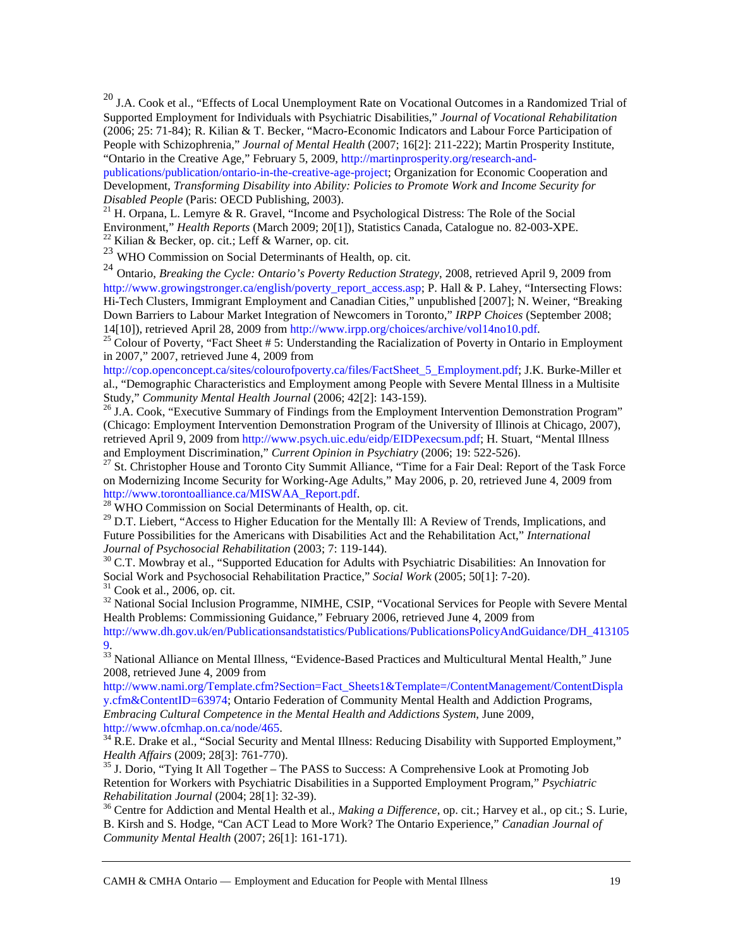<span id="page-22-0"></span><sup>20</sup> J.A. Cook et al., "Effects of Local Unemployment Rate on Vocational Outcomes in a Randomized Trial of Supported Employment for Individuals with Psychiatric Disabilities," *Journal of Vocational Rehabilitation* (2006; 25: 71-84); R. Kilian & T. Becker, "Macro-Economic Indicators and Labour Force Participation of People with Schizophrenia," *Journal of Mental Health* (2007; 16[2]: 211-222); Martin Prosperity Institute, "Ontario in the Creative Age," February 5, 2009, [http://martinprosperity.org/research-and-](http://martinprosperity.org/research-and-publications/publication/ontario-in-the-creative-age-project)

[publications/publication/ontario-in-the-creative-age-project;](http://martinprosperity.org/research-and-publications/publication/ontario-in-the-creative-age-project) Organization for Economic Cooperation and Development, *Transforming Disability into Ability: Policies to Promote Work and Income Security for Disabled People* (Paris: OECD Publishing, 2003).<br><sup>21</sup> H. Orpana, L. Lemyre & R. Gravel, "Income and Psychological Distress: The Role of the Social

<span id="page-22-1"></span>Environment," *Health Reports* (March 2009; 20[1]), Statistics Canada, Catalogue no. 82-003-XPE.<br><sup>22</sup> Kilian & Becker, op. cit.; Leff & Warner, op. cit.

<span id="page-22-3"></span><span id="page-22-2"></span><sup>23</sup> WHO Commission on Social Determinants of Health, op. cit.

<span id="page-22-4"></span><sup>24</sup> Ontario, *Breaking the Cycle: Ontario's Poverty Reduction Strategy*, 2008, retrieved April 9, 2009 from [http://www.growingstronger.ca/english/poverty\\_report\\_access.asp;](http://www.growingstronger.ca/english/poverty_report_access.asp) P. Hall & P. Lahey, "Intersecting Flows: Hi-Tech Clusters, Immigrant Employment and Canadian Cities," unpublished [2007]; N. Weiner, "Breaking Down Barriers to Labour Market Integration of Newcomers in Toronto," *IRPP Choices* (September 2008;

<span id="page-22-5"></span><sup>25</sup> Colour of Poverty, "Fact Sheet # 5: Understanding the Racialization of Poverty in Ontario in Employment in 2007," 2007, retrieved June 4, 2009 from

[http://cop.openconcept.ca/sites/colourofpoverty.ca/files/FactSheet\\_5\\_Employment.pdf;](http://cop.openconcept.ca/sites/colourofpoverty.ca/files/FactSheet_5_Employment.pdf) J.K. Burke-Miller et al., "Demographic Characteristics and Employment among People with Severe Mental Illness in a Multisite Study," *Community Mental Health Journal* (2006; 42[2]: 143-159).<br><sup>26</sup> J.A. Cook, "Executive Summary of Findings from the Employment Intervention Demonstration Program"

<span id="page-22-6"></span>(Chicago: Employment Intervention Demonstration Program of the University of Illinois at Chicago, 2007), retrieved April 9, 2009 fro[m http://www.psych.uic.edu/eidp/EIDPexecsum.pdf;](http://www.psych.uic.edu/eidp/EIDPexecsum.pdf) H. Stuart, "Mental Illness<br>and Employment Discrimination," Current Opinion in Psychiatry (2006; 19: 522-526).

<span id="page-22-7"></span><sup>27</sup> St. Christopher House and Toronto City Summit Alliance, "Time for a Fair Deal: Report of the Task Force on Modernizing Income Security for Working-Age Adults," May 2006, p. 20, retrieved June 4, 2009 from http://www.torontoalliance.ca/MISWAA\_Report.pdf.

<span id="page-22-8"></span><sup>28</sup> WHO Commission on Social Determinants of Health, op. cit.

<span id="page-22-9"></span><sup>29</sup> D.T. Liebert, "Access to Higher Education for the Mentally Ill: A Review of Trends, Implications, and Future Possibilities for the Americans with Disabilities Act and the Rehabilitation Act," *International* 

<span id="page-22-10"></span>*Journal of Psychosocial Rehabilitation* (2003; 7: 119-144).<br><sup>30</sup> C.T. Mowbray et al., "Supported Education for Adults with Psychiatric Disabilities: An Innovation for Social Work and Psychosocial Rehabilitation Practice,"

<span id="page-22-12"></span><span id="page-22-11"></span> $31$  Cook et al., 2006, op. cit.<br> $32$  National Social Inclusion Programme, NIMHE, CSIP, "Vocational Services for People with Severe Mental Health Problems: Commissioning Guidance," February 2006, retrieved June 4, 2009 from

[http://www.dh.gov.uk/en/Publicationsandstatistics/Publications/PublicationsPolicyAndGuidance/DH\\_413105](http://www.dh.gov.uk/en/Publicationsandstatistics/Publications/PublicationsPolicyAndGuidance/DH_4131059) [9.](http://www.dh.gov.uk/en/Publicationsandstatistics/Publications/PublicationsPolicyAndGuidance/DH_4131059)

<span id="page-22-13"></span><sup>33</sup> National Alliance on Mental Illness, "Evidence-Based Practices and Multicultural Mental Health," June 2008, retrieved June 4, 2009 from

[http://www.nami.org/Template.cfm?Section=Fact\\_Sheets1&Template=/ContentManagement/ContentDispla](http://www.nami.org/Template.cfm?Section=Fact_Sheets1&Template=/ContentManagement/ContentDisplay.cfm&ContentID=63974) [y.cfm&ContentID=63974;](http://www.nami.org/Template.cfm?Section=Fact_Sheets1&Template=/ContentManagement/ContentDisplay.cfm&ContentID=63974) Ontario Federation of Community Mental Health and Addiction Programs, *Embracing Cultural Competence in the Mental Health and Addictions System*, June 2009,

<span id="page-22-14"></span>[http://www.ofcmhap.on.ca/node/465.](http://www.ofcmhap.on.ca/node/465)<br><sup>34</sup> R.E. Drake et al., "Social Security and Mental Illness: Reducing Disability with Supported Employment,"<br>*Health Affairs* (2009; 28[3]: 761-770).

<span id="page-22-15"></span><sup>35</sup> J. Dorio, "Tying It All Together – The PASS to Success: A Comprehensive Look at Promoting Job Retention for Workers with Psychiatric Disabilities in a Supported Employment Program," *Psychiatric* 

<span id="page-22-16"></span><sup>36</sup> Centre for Addiction and Mental Health et al., *Making a Difference*, op. cit.; Harvey et al., op cit.; S. Lurie, B. Kirsh and S. Hodge, "Can ACT Lead to More Work? The Ontario Experience," *Canadian Journal of Community Mental Health* (2007; 26[1]: 161-171).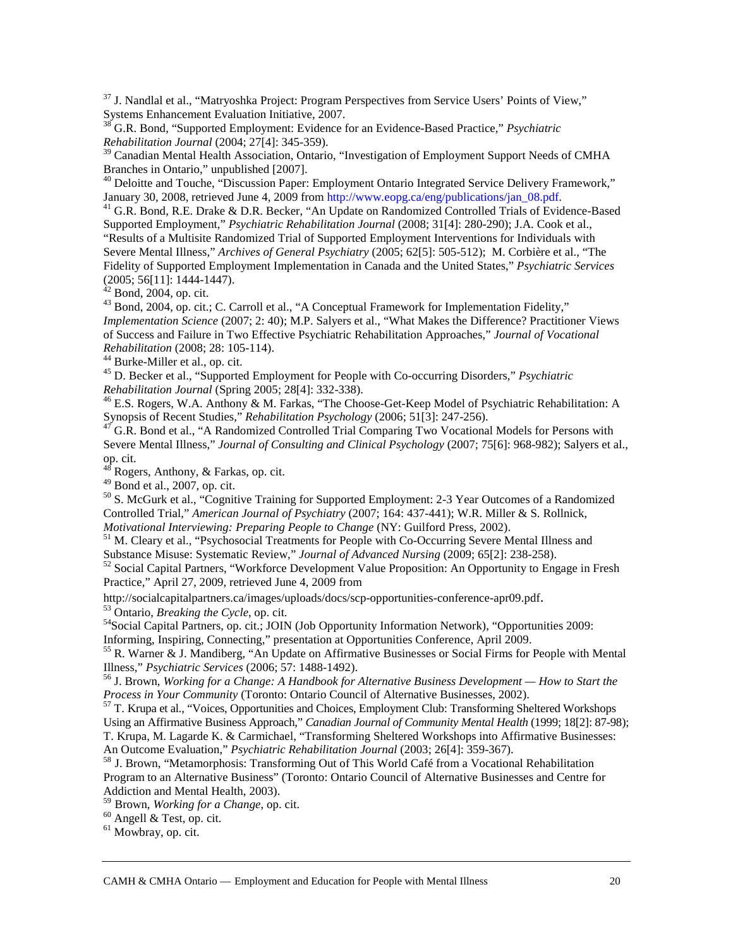<span id="page-23-0"></span><sup>37</sup> J. Nandlal et al., "Matryoshka Project: Program Perspectives from Service Users' Points of View," Systems Enhancement Evaluation Initiative, 2007. <sup>38</sup> G.R. Bond, "Supported Employment: Evidence for an Evidence-Based Practice," *Psychiatric*

<span id="page-23-1"></span>*Rehabilitation Journal* (2004; 27[4]: 345-359).

<span id="page-23-2"></span><sup>39</sup> Canadian Mental Health Association, Ontario, "Investigation of Employment Support Needs of CMHA<br>Branches in Ontario," unpublished [2007].

<span id="page-23-3"></span><sup>40</sup> Deloitte and Touche, "Discussion Paper: Employment Ontario Integrated Service Delivery Framework," January 30, 2008, retrieved June 4, 2009 from http://www.eopg.ca/eng/publications/jan\_08.pdf.

<span id="page-23-4"></span><sup>41</sup> G.R. Bond, R.E. Drake & D.R. Becker, "An Update on Randomized Controlled Trials of Evidence-Based Supported Employment," *Psychiatric Rehabilitation Journal* (2008; 31[4]: 280-290); J.A. Cook et al., "Results of a Multisite Randomized Trial of Supported Employment Interventions for Individuals with Severe Mental Illness," *Archives of General Psychiatry* (2005; 62[5]: 505-512); M. Corbière et al., "The Fidelity of Supported Employment Implementation in Canada and the United States," *Psychiatric Services* (2005; 56[11]: 1444-1447).<br><sup>42</sup> Pand 2004 and in

<span id="page-23-6"></span><span id="page-23-5"></span><sup>42</sup> Bond, 2004, op. cit.<br><sup>43</sup> Bond, 2004, op. cit.; C. Carroll et al., "A Conceptual Framework for Implementation Fidelity," *Implementation Science* (2007; 2: 40); M.P. Salyers et al., "What Makes the Difference? Practitioner Views of Success and Failure in Two Effective Psychiatric Rehabilitation Approaches," *Journal of Vocational* 

<span id="page-23-8"></span>

<span id="page-23-7"></span>*Rehabilitation* (2008; 28: 105-114).<br><sup>44</sup> Burke-Miller et al., op. cit.<br><sup>45</sup> D. Becker et al., "Supported Employment for People with Co-occurring Disorders," *Psychiatric Rehabilitation Journal* (Spring 2005; 28[4]: 332-3

<span id="page-23-9"></span><sup>46</sup> E.S. Rogers, W.A. Anthony & M. Farkas, "The Choose-Get-Keep Model of Psychiatric Rehabilitation: A Synopsis of Recent Studies," *Rehabilitation Psychology* (2006; 51[3]: 247-256).

<span id="page-23-10"></span><sup>47</sup> G.R. Bond et al., "A Randomized Controlled Trial Comparing Two Vocational Models for Persons with Severe Mental Illness," *Journal of Consulting and Clinical Psychology* (2007; 75[6]: 968-982); Salyers et al., op. cit.

<span id="page-23-11"></span> $^{48}$  Rogers, Anthony, & Farkas, op. cit.<br><sup>49</sup> Bond et al., 2007, op. cit.

<span id="page-23-13"></span><span id="page-23-12"></span> $50$  S. McGurk et al., "Cognitive Training for Supported Employment: 2-3 Year Outcomes of a Randomized Controlled Trial," *American Journal of Psychiatry* (2007; 164: 437-441); W.R. Miller & S. Rollnick, *Motivational Interviewing: Preparing People to Change* (NY: Guilford Press, 2002).<br><sup>51</sup> M. Cleary et al., "Psychosocial Treatments for People with Co-Occurring Severe Mental Illness and

<span id="page-23-14"></span>Substance Misuse: Systematic Review," *Journal of Advanced Nursing* (2009; 65[2]: 238-258).<br><sup>52</sup> Social Capital Partners, "Workforce Development Value Proposition: An Opportunity to Engage in Fresh

<span id="page-23-15"></span>Practice," April 27, 2009, retrieved June 4, 2009 from

<span id="page-23-17"></span>

<span id="page-23-16"></span>[http://socialcapitalpartners.ca/images/uploads/docs/scp-opportunities-conference-apr09.pdf.](http://socialcapitalpartners.ca/images/uploads/docs/scp-opportunities-conference-apr09.pdf)<br>
<sup>53</sup> Ontario, *Breaking the Cycle*, op. cit.<br>
<sup>54</sup> Social Capital Partners, op. cit.; JOIN (Job Opportunity Information Network),

<span id="page-23-18"></span><sup>55</sup> R. Warner & J. Mandiberg, "An Update on Affirmative Businesses or Social Firms for People with Mental Illness," *Psychiatric Services* (2006; 57: 1488-1492).

<span id="page-23-19"></span><sup>56</sup> J. Brown, *Working for a Change: A Handbook for Alternative Business Development — How to Start the Process in Your Community* (Toronto: Ontario Council of Alternative Businesses, 2002).<br><sup>57</sup> T. Krupa et al., "Voices, Opportunities and Choices, Employment Club: Transforming Sheltered Workshops

<span id="page-23-20"></span>Using an Affirmative Business Approach," *Canadian Journal of Community Mental Health* (1999; 18[2]: 87-98);

T. Krupa, M. Lagarde K. & Carmichael, "Transforming Sheltered Workshops into Affirmative Businesses: An Outcome Evaluation," *Psychiatric Rehabilitation Journal* (2003; 26[4]: 359-367).

<span id="page-23-21"></span><sup>58</sup> J. Brown, "Metamorphosis: Transforming Out of This World Café from a Vocational Rehabilitation Program to an Alternative Business" (Toronto: Ontario Council of Alternative Businesses and Centre for Addiction and Mental Health, 2003).

<span id="page-23-23"></span><span id="page-23-22"></span><sup>59</sup> Brown, *Working for a Change*, op. cit.<br><sup>60</sup> Angell & Test, op. cit. <sup>61</sup> Mowbray, op. cit.

<span id="page-23-24"></span>